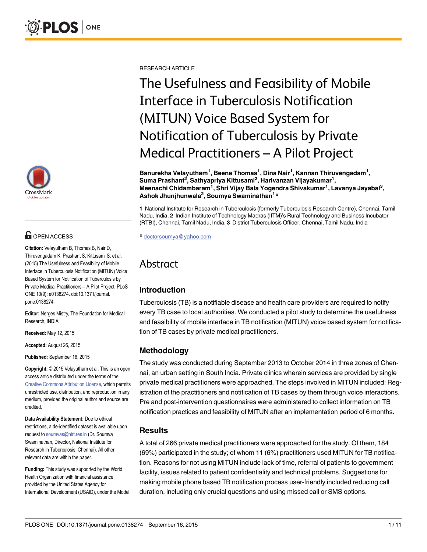

# **G** OPEN ACCESS

Citation: Velayutham B, Thomas B, Nair D, Thiruvengadam K, Prashant S, Kittusami S, et al. (2015) The Usefulness and Feasibility of Mobile Interface in Tuberculosis Notification (MITUN) Voice Based System for Notification of Tuberculosis by Private Medical Practitioners – A Pilot Project. PLoS ONE 10(9): e0138274. doi:10.1371/journal. pone.0138274

Editor: Nerges Mistry, The Foundation for Medical Research, INDIA

Received: May 12, 2015

Accepted: August 26, 2015

Published: September 16, 2015

Copyright: © 2015 Velayutham et al. This is an open access article distributed under the terms of the [Creative Commons Attribution License,](http://creativecommons.org/licenses/by/4.0/) which permits unrestricted use, distribution, and reproduction in any medium, provided the original author and source are credited.

Data Availability Statement: Due to ethical restrictions, a de-identified dataset is available upon request to soumyas@nirt.res.in (Dr. Soumya Swaminathan, Director, National Institute for Research in Tuberculosis, Chennai). All other relevant data are within the paper.

Funding: This study was supported by the World Health Organization with financial assistance provided by the United States Agency for International Development (USAID), under the Model RESEARCH ARTICLE

The Usefulness and Feasibility of Mobile Interface in Tuberculosis Notification (MITUN) Voice Based System for Notification of Tuberculosis by Private Medical Practitioners – A Pilot Project

Banurekha Velayutham<sup>1</sup>, Beena Thomas<sup>1</sup>, Dina Nair<sup>1</sup>, Kannan Thiruvengadam<sup>1</sup>, Suma Prashant $^2$ , Sathyapriya Kittusami $^2$ , Harivanzan Vijayakumar $^1,$ Meenachi Chidambaram<sup>1</sup>, Shri Vijay Bala Yogendra Shivakumar<sup>1</sup>, Lavanya Jayabal<sup>3</sup>, Ashok Jhunjhunwala<sup>2</sup>, Soumya Swaminathan<sup>1</sup>\*

1 National Institute for Research in Tuberculosis (formerly Tuberculosis Research Centre), Chennai, Tamil Nadu, India, 2 Indian Institute of Technology Madras (IITM)'s Rural Technology and Business Incubator (RTBI), Chennai, Tamil Nadu, India, 3 District Tuberculosis Officer, Chennai, Tamil Nadu, India

\* doctorsoumya@yahoo.com

## Abstract

## Introduction

Tuberculosis (TB) is a notifiable disease and health care providers are required to notify every TB case to local authorities. We conducted a pilot study to determine the usefulness and feasibility of mobile interface in TB notification (MITUN) voice based system for notification of TB cases by private medical practitioners.

## Methodology

The study was conducted during September 2013 to October 2014 in three zones of Chennai, an urban setting in South India. Private clinics wherein services are provided by single private medical practitioners were approached. The steps involved in MITUN included: Registration of the practitioners and notification of TB cases by them through voice interactions. Pre and post-intervention questionnaires were administered to collect information on TB notification practices and feasibility of MITUN after an implementation period of 6 months.

## **Results**

A total of 266 private medical practitioners were approached for the study. Of them, 184 (69%) participated in the study; of whom 11 (6%) practitioners used MITUN for TB notification. Reasons for not using MITUN include lack of time, referral of patients to government facility, issues related to patient confidentiality and technical problems. Suggestions for making mobile phone based TB notification process user-friendly included reducing call duration, including only crucial questions and using missed call or SMS options.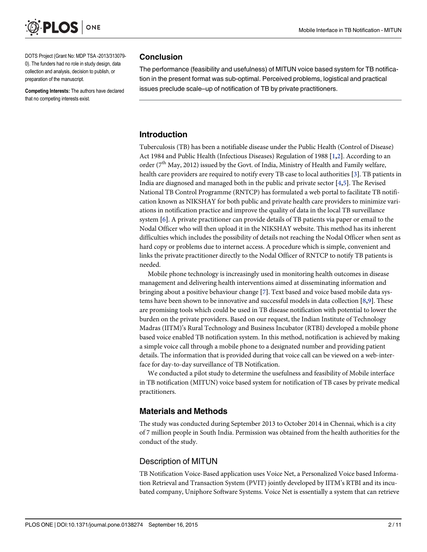<span id="page-1-0"></span>

DOTS Project (Grant No: MDP TSA -2013/313079- 0). The funders had no role in study design, data collection and analysis, decision to publish, or preparation of the manuscript.

Competing Interests: The authors have declared that no competing interests exist.

#### Conclusion

The performance (feasibility and usefulness) of MITUN voice based system for TB notification in the present format was sub-optimal. Perceived problems, logistical and practical issues preclude scale–up of notification of TB by private practitioners.

#### Introduction

Tuberculosis (TB) has been a notifiable disease under the Public Health (Control of Disease) Act 1984 and Public Health (Infectious Diseases) Regulation of 1988 [[1,2\]](#page-9-0). According to an order ( $7<sup>th</sup>$  May, 2012) issued by the Govt. of India, Ministry of Health and Family welfare, health care providers are required to notify every TB case to local authorities [\[3](#page-9-0)]. TB patients in India are diagnosed and managed both in the public and private sector [\[4](#page-9-0),[5\]](#page-9-0). The Revised National TB Control Programme (RNTCP) has formulated a web portal to facilitate TB notification known as NIKSHAY for both public and private health care providers to minimize variations in notification practice and improve the quality of data in the local TB surveillance system [[6\]](#page-9-0). A private practitioner can provide details of TB patients via paper or email to the Nodal Officer who will then upload it in the NIKSHAY website. This method has its inherent difficulties which includes the possibility of details not reaching the Nodal Officer when sent as hard copy or problems due to internet access. A procedure which is simple, convenient and links the private practitioner directly to the Nodal Officer of RNTCP to notify TB patients is needed.

Mobile phone technology is increasingly used in monitoring health outcomes in disease management and delivering health interventions aimed at disseminating information and bringing about a positive behaviour change [\[7](#page-9-0)]. Text based and voice based mobile data systems have been shown to be innovative and successful models in data collection [\[8](#page-9-0),[9\]](#page-9-0). These are promising tools which could be used in TB disease notification with potential to lower the burden on the private providers. Based on our request, the Indian Institute of Technology Madras (IITM)'s Rural Technology and Business Incubator (RTBI) developed a mobile phone based voice enabled TB notification system. In this method, notification is achieved by making a simple voice call through a mobile phone to a designated number and providing patient details. The information that is provided during that voice call can be viewed on a web-interface for day-to-day surveillance of TB Notification.

We conducted a pilot study to determine the usefulness and feasibility of Mobile interface in TB notification (MITUN) voice based system for notification of TB cases by private medical practitioners.

### Materials and Methods

The study was conducted during September 2013 to October 2014 in Chennai, which is a city of 7 million people in South India. Permission was obtained from the health authorities for the conduct of the study.

### Description of MITUN

TB Notification Voice-Based application uses Voice Net, a Personalized Voice based Information Retrieval and Transaction System (PVIT) jointly developed by IITM's RTBI and its incubated company, Uniphore Software Systems. Voice Net is essentially a system that can retrieve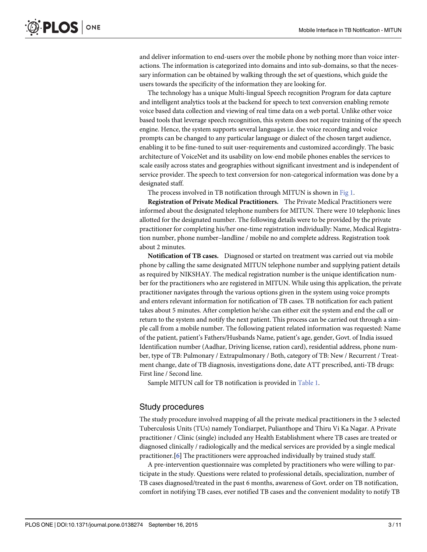<span id="page-2-0"></span>and deliver information to end-users over the mobile phone by nothing more than voice interactions. The information is categorized into domains and into sub-domains, so that the necessary information can be obtained by walking through the set of questions, which guide the users towards the specificity of the information they are looking for.

The technology has a unique Multi-lingual Speech recognition Program for data capture and intelligent analytics tools at the backend for speech to text conversion enabling remote voice based data collection and viewing of real time data on a web portal. Unlike other voice based tools that leverage speech recognition, this system does not require training of the speech engine. Hence, the system supports several languages i.e. the voice recording and voice prompts can be changed to any particular language or dialect of the chosen target audience, enabling it to be fine-tuned to suit user-requirements and customized accordingly. The basic architecture of VoiceNet and its usability on low-end mobile phones enables the services to scale easily across states and geographies without significant investment and is independent of service provider. The speech to text conversion for non-categorical information was done by a designated staff.

The process involved in TB notification through MITUN is shown in [Fig 1.](#page-3-0)

Registration of Private Medical Practitioners. The Private Medical Practitioners were informed about the designated telephone numbers for MITUN. There were 10 telephonic lines allotted for the designated number. The following details were to be provided by the private practitioner for completing his/her one-time registration individually: Name, Medical Registration number, phone number–landline / mobile no and complete address. Registration took about 2 minutes.

Notification of TB cases. Diagnosed or started on treatment was carried out via mobile phone by calling the same designated MITUN telephone number and supplying patient details as required by NIKSHAY. The medical registration number is the unique identification number for the practitioners who are registered in MITUN. While using this application, the private practitioner navigates through the various options given in the system using voice prompts and enters relevant information for notification of TB cases. TB notification for each patient takes about 5 minutes. After completion he/she can either exit the system and end the call or return to the system and notify the next patient. This process can be carried out through a simple call from a mobile number. The following patient related information was requested: Name of the patient, patient's Fathers/Husbands Name, patient's age, gender, Govt. of India issued Identification number (Aadhar, Driving license, ration card), residential address, phone number, type of TB: Pulmonary / Extrapulmonary / Both, category of TB: New / Recurrent / Treatment change, date of TB diagnosis, investigations done, date ATT prescribed, anti-TB drugs: First line / Second line.

Sample MITUN call for TB notification is provided in [Table 1](#page-4-0).

#### Study procedures

The study procedure involved mapping of all the private medical practitioners in the 3 selected Tuberculosis Units (TUs) namely Tondiarpet, Pulianthope and Thiru Vi Ka Nagar. A Private practitioner / Clinic (single) included any Health Establishment where TB cases are treated or diagnosed clinically / radiologically and the medical services are provided by a single medical practitioner.[[6\]](#page-9-0) The practitioners were approached individually by trained study staff.

A pre-intervention questionnaire was completed by practitioners who were willing to participate in the study. Questions were related to professional details, specialization, number of TB cases diagnosed/treated in the past 6 months, awareness of Govt. order on TB notification, comfort in notifying TB cases, ever notified TB cases and the convenient modality to notify TB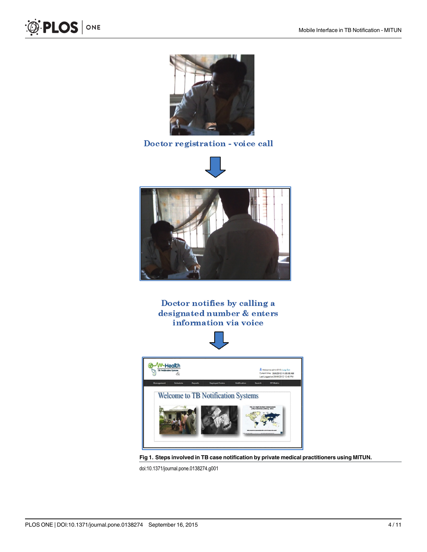<span id="page-3-0"></span>



## Doctor registration - voice call





Doctor notifies by calling a designated number & enters information via voice



[Fig 1. S](#page-2-0)teps involved in TB case notification by private medical practitioners using MITUN.

doi:10.1371/journal.pone.0138274.g001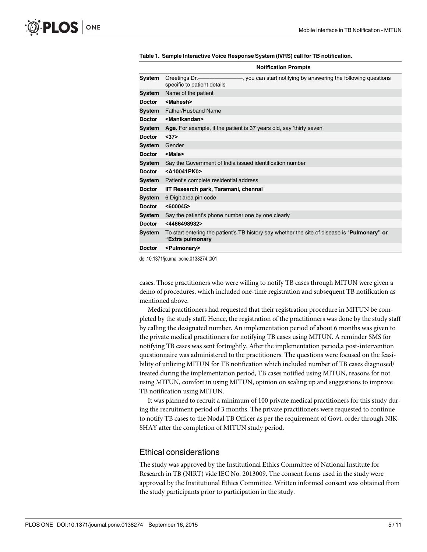|               | <b>Notification Prompts</b>                                                                                              |  |  |
|---------------|--------------------------------------------------------------------------------------------------------------------------|--|--|
| System        | Greetings Dr.————————, you can start notifying by answering the following questions<br>specific to patient details       |  |  |
| System        | Name of the patient                                                                                                      |  |  |
| <b>Doctor</b> | <mahesh></mahesh>                                                                                                        |  |  |
| System        | Father/Husband Name                                                                                                      |  |  |
| <b>Doctor</b> | <manikandan></manikandan>                                                                                                |  |  |
| System        | Age. For example, if the patient is 37 years old, say 'thirty seven'                                                     |  |  |
| <b>Doctor</b> | $37$                                                                                                                     |  |  |
| System        | Gender                                                                                                                   |  |  |
| <b>Doctor</b> | <male></male>                                                                                                            |  |  |
| System        | Say the Government of India issued identification number                                                                 |  |  |
| <b>Doctor</b> | <a10041pk0></a10041pk0>                                                                                                  |  |  |
| System        | Patient's complete residential address                                                                                   |  |  |
| <b>Doctor</b> | IIT Research park, Taramani, chennai                                                                                     |  |  |
| System        | 6 Digit area pin code                                                                                                    |  |  |
| <b>Doctor</b> | < 600045                                                                                                                 |  |  |
| System        | Say the patient's phone number one by one clearly                                                                        |  |  |
| <b>Doctor</b> | <4466498932>                                                                                                             |  |  |
| System        | To start entering the patient's TB history say whether the site of disease is " <b>Pulmonary" or</b><br>"Extra pulmonary |  |  |
| <b>Doctor</b> | <pulmonary></pulmonary>                                                                                                  |  |  |

<span id="page-4-0"></span>[Table 1.](#page-2-0) Sample Interactive Voice Response System (IVRS) call for TB notification.

doi:10.1371/journal.pone.0138274.t001

cases. Those practitioners who were willing to notify TB cases through MITUN were given a demo of procedures, which included one-time registration and subsequent TB notification as mentioned above.

Medical practitioners had requested that their registration procedure in MITUN be completed by the study staff. Hence, the registration of the practitioners was done by the study staff by calling the designated number. An implementation period of about 6 months was given to the private medical practitioners for notifying TB cases using MITUN. A reminder SMS for notifying TB cases was sent fortnightly. After the implementation period,a post-intervention questionnaire was administered to the practitioners. The questions were focused on the feasibility of utilizing MITUN for TB notification which included number of TB cases diagnosed/ treated during the implementation period, TB cases notified using MITUN, reasons for not using MITUN, comfort in using MITUN, opinion on scaling up and suggestions to improve TB notification using MITUN.

It was planned to recruit a minimum of 100 private medical practitioners for this study during the recruitment period of 3 months. The private practitioners were requested to continue to notify TB cases to the Nodal TB Officer as per the requirement of Govt. order through NIK-SHAY after the completion of MITUN study period.

#### Ethical considerations

The study was approved by the Institutional Ethics Committee of National Institute for Research in TB (NIRT) vide IEC No. 2013009. The consent forms used in the study were approved by the Institutional Ethics Committee. Written informed consent was obtained from the study participants prior to participation in the study.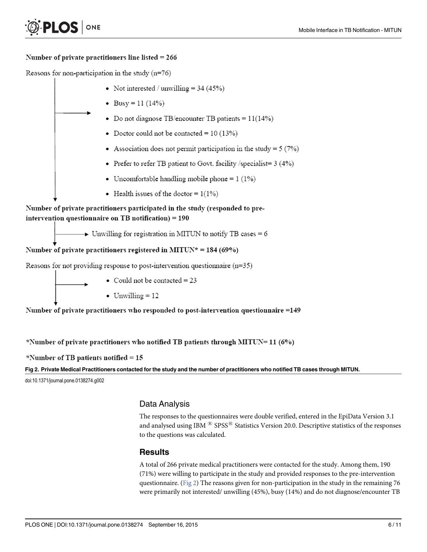#### <span id="page-5-0"></span>Number of private practitioners line listed  $= 266$

Reasons for non-participation in the study  $(n=76)$ 



• Could not be contacted =  $23$ 

• Unwilling =  $12$ 

Number of private practitioners who responded to post-intervention questionnaire =149

\*Number of private practitioners who notified TB patients through MITUN= 11 (6%)

\*Number of TB patients notified =  $15$ 

Fig 2. Private Medical Practitioners contacted for the study and the number of practitioners who notified TB cases through MITUN.

doi:10.1371/journal.pone.0138274.g002

### Data Analysis

The responses to the questionnaires were double verified, entered in the EpiData Version 3.1 and analysed using IBM  $^{\circledR}$  SPSS $^{\circledR}$  Statistics Version 20.0. Descriptive statistics of the responses to the questions was calculated.

#### **Results**

A total of 266 private medical practitioners were contacted for the study. Among them, 190 (71%) were willing to participate in the study and provided responses to the pre-intervention questionnaire. (Fig  $2$ ) The reasons given for non-participation in the study in the remaining 76 were primarily not interested/ unwilling (45%), busy (14%) and do not diagnose/encounter TB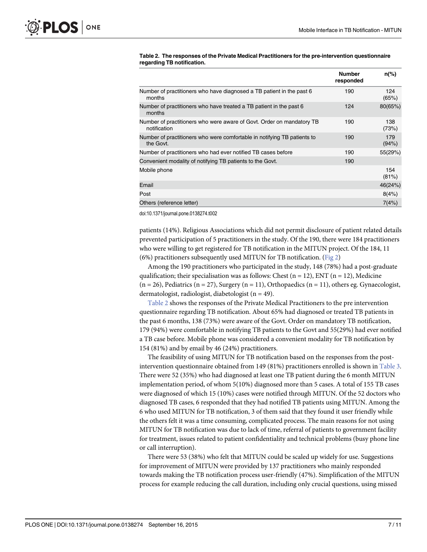|                                                                                       | <b>Number</b><br>responded | $n\frac{9}{6}$ |
|---------------------------------------------------------------------------------------|----------------------------|----------------|
| Number of practitioners who have diagnosed a TB patient in the past 6<br>months       | 190                        | 124<br>(65%)   |
| Number of practitioners who have treated a TB patient in the past 6<br>months         | 124                        | 80(65%)        |
| Number of practitioners who were aware of Govt. Order on mandatory TB<br>notification | 190                        | 138<br>(73%)   |
| Number of practitioners who were comfortable in notifying TB patients to<br>the Govt. | 190                        | 179<br>(94%)   |
| Number of practitioners who had ever notified TB cases before                         | 190                        | 55(29%)        |
| Convenient modality of notifying TB patients to the Govt.                             | 190                        |                |
| Mobile phone                                                                          |                            | 154<br>(81%)   |
| Email                                                                                 |                            | 46(24%)        |
| Post                                                                                  |                            | 8(4%)          |
| Others (reference letter)                                                             |                            | 7(4%)          |

#### <span id="page-6-0"></span>Table 2. The responses of the Private Medical Practitioners for the pre-intervention questionnaire regarding TB notification.

doi:10.1371/journal.pone.0138274.t002

patients (14%). Religious Associations which did not permit disclosure of patient related details prevented participation of 5 practitioners in the study. Of the 190, there were 184 practitioners who were willing to get registered for TB notification in the MITUN project. Of the 184, 11 (6%) practitioners subsequently used MITUN for TB notification. ([Fig 2](#page-5-0))

Among the 190 practitioners who participated in the study, 148 (78%) had a post-graduate qualification; their specialisation was as follows: Chest (n = 12), ENT (n = 12), Medicine  $(n = 26)$ , Pediatrics  $(n = 27)$ , Surgery  $(n = 11)$ , Orthopaedics  $(n = 11)$ , others eg. Gynaecologist, dermatologist, radiologist, diabetologist (n = 49).

Table 2 shows the responses of the Private Medical Practitioners to the pre intervention questionnaire regarding TB notification. About 65% had diagnosed or treated TB patients in the past 6 months, 138 (73%) were aware of the Govt. Order on mandatory TB notification, 179 (94%) were comfortable in notifying TB patients to the Govt and 55(29%) had ever notified a TB case before. Mobile phone was considered a convenient modality for TB notification by 154 (81%) and by email by 46 (24%) practitioners.

The feasibility of using MITUN for TB notification based on the responses from the postintervention questionnaire obtained from 149 (81%) practitioners enrolled is shown in [Table 3.](#page-7-0) There were 52 (35%) who had diagnosed at least one TB patient during the 6 month MITUN implementation period, of whom 5(10%) diagnosed more than 5 cases. A total of 155 TB cases were diagnosed of which 15 (10%) cases were notified through MITUN. Of the 52 doctors who diagnosed TB cases, 6 responded that they had notified TB patients using MITUN. Among the 6 who used MITUN for TB notification, 3 of them said that they found it user friendly while the others felt it was a time consuming, complicated process. The main reasons for not using MITUN for TB notification was due to lack of time, referral of patients to government facility for treatment, issues related to patient confidentiality and technical problems (busy phone line or call interruption).

There were 53 (38%) who felt that MITUN could be scaled up widely for use. Suggestions for improvement of MITUN were provided by 137 practitioners who mainly responded towards making the TB notification process user-friendly (47%). Simplification of the MITUN process for example reducing the call duration, including only crucial questions, using missed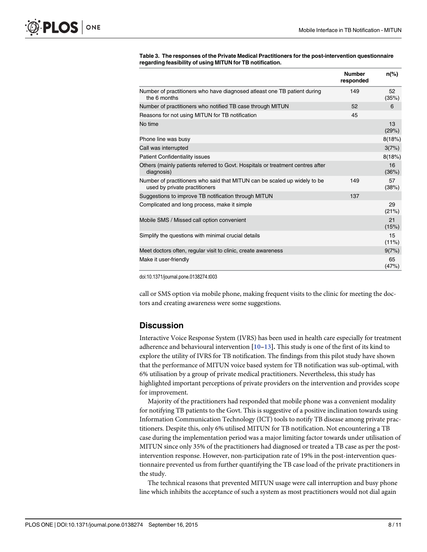|                                                                                                            | <b>Number</b><br>responded | n(%)           |
|------------------------------------------------------------------------------------------------------------|----------------------------|----------------|
| Number of practitioners who have diagnosed atleast one TB patient during<br>the 6 months                   | 149                        | 52<br>(35%)    |
| Number of practitioners who notified TB case through MITUN                                                 | 52                         | 6              |
| Reasons for not using MITUN for TB notification                                                            | 45                         |                |
| No time                                                                                                    |                            | 13<br>(29%)    |
| Phone line was busy                                                                                        |                            | 8(18%)         |
| Call was interrupted                                                                                       |                            | 3(7%)          |
| <b>Patient Confidentiality issues</b>                                                                      |                            | 8(18%)         |
| Others (mainly patients referred to Govt. Hospitals or treatment centres after<br>diagnosis)               |                            | 16<br>(36%)    |
| Number of practitioners who said that MITUN can be scaled up widely to be<br>used by private practitioners | 149                        | 57<br>(38%)    |
| Suggestions to improve TB notification through MITUN                                                       | 137                        |                |
| Complicated and long process, make it simple                                                               |                            | 29<br>(21%)    |
| Mobile SMS / Missed call option convenient                                                                 |                            | 21<br>(15%)    |
| Simplify the questions with minimal crucial details                                                        |                            | 15<br>$(11\%)$ |
| Meet doctors often, regular visit to clinic, create awareness                                              |                            | 9(7%)          |
| Make it user-friendly                                                                                      |                            | 65<br>(47%)    |

<span id="page-7-0"></span>[Table 3.](#page-6-0) The responses of the Private Medical Practitioners for the post-intervention questionnaire regarding feasibility of using MITUN for TB notification.

doi:10.1371/journal.pone.0138274.t003

call or SMS option via mobile phone, making frequent visits to the clinic for meeting the doctors and creating awareness were some suggestions.

#### **Discussion**

Interactive Voice Response System (IVRS) has been used in health care especially for treatment adherence and behavioural intervention  $[10-13]$  $[10-13]$  $[10-13]$  $[10-13]$ . This study is one of the first of its kind to explore the utility of IVRS for TB notification. The findings from this pilot study have shown that the performance of MITUN voice based system for TB notification was sub-optimal, with 6% utilisation by a group of private medical practitioners. Nevertheless, this study has highlighted important perceptions of private providers on the intervention and provides scope for improvement.

Majority of the practitioners had responded that mobile phone was a convenient modality for notifying TB patients to the Govt. This is suggestive of a positive inclination towards using Information Communication Technology (ICT) tools to notify TB disease among private practitioners. Despite this, only 6% utilised MITUN for TB notification. Not encountering a TB case during the implementation period was a major limiting factor towards under utilisation of MITUN since only 35% of the practitioners had diagnosed or treated a TB case as per the postintervention response. However, non-participation rate of 19% in the post-intervention questionnaire prevented us from further quantifying the TB case load of the private practitioners in the study.

The technical reasons that prevented MITUN usage were call interruption and busy phone line which inhibits the acceptance of such a system as most practitioners would not dial again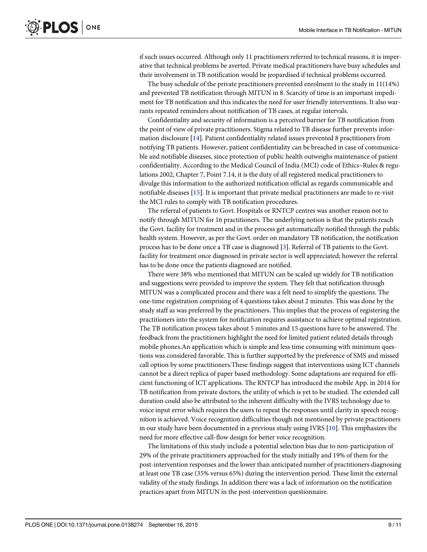<span id="page-8-0"></span>if such issues occurred. Although only 11 practitioners referred to technical reasons, it is imperative that technical problems be averted. Private medical practitioners have busy schedules and their involvement in TB notification would be jeopardised if technical problems occurred.

The busy schedule of the private practitioners prevented enrolment to the study in 11(14%) and prevented TB notification through MITUN in 8. Scarcity of time is an important impediment for TB notification and this indicates the need for user friendly interventions. It also warrants repeated reminders about notification of TB cases, at regular intervals.

Confidentiality and security of information is a perceived barrier for TB notification from the point of view of private practitioners. Stigma related to TB disease further prevents information disclosure [\[14](#page-10-0)]. Patient confidentiality related issues prevented 8 practitioners from notifying TB patients. However, patient confidentiality can be breached in case of communicable and notifiable diseases, since protection of public health outweighs maintenance of patient confidentiality. According to the Medical Council of India (MCI) code of Ethics–Rules & regulations 2002, Chapter 7, Point 7.14, it is the duty of all registered medical practitioners to divulge this information to the authorized notification official as regards communicable and notifiable diseases [[15\]](#page-10-0). It is important that private medical practitioners are made to re-visit the MCI rules to comply with TB notification procedures.

The referral of patients to Govt. Hospitals or RNTCP centres was another reason not to notify through MITUN for 16 practitioners. The underlying notion is that the patients reach the Govt. facility for treatment and in the process get automatically notified through the public health system. However, as per the Govt. order on mandatory TB notification, the notification process has to be done once a TB case is diagnosed [[3\]](#page-9-0). Referral of TB patients to the Govt. facility for treatment once diagnosed in private sector is well appreciated; however the referral has to be done once the patients diagnosed are notified.

There were 38% who mentioned that MITUN can be scaled up widely for TB notification and suggestions were provided to improve the system. They felt that notification through MITUN was a complicated process and there was a felt need to simplify the questions. The one-time registration comprising of 4 questions takes about 2 minutes. This was done by the study staff as was preferred by the practitioners. This implies that the process of registering the practitioners into the system for notification requires assistance to achieve optimal registration. The TB notification process takes about 5 minutes and 15 questions have to be answered. The feedback from the practitioners highlight the need for limited patient related details through mobile phones.An application which is simple and less time consuming with minimum questions was considered favorable. This is further supported by the preference of SMS and missed call option by some practitioners.These findings suggest that interventions using ICT channels cannot be a direct replica of paper based methodology. Some adaptations are required for efficient functioning of ICT applications. The RNTCP has introduced the mobile App. in 2014 for TB notification from private doctors, the utility of which is yet to be studied. The extended call duration could also be attributed to the inherent difficulty with the IVRS technology due to voice input error which requires the users to repeat the responses until clarity in speech recognition is achieved. Voice recognition difficulties though not mentioned by private practitioners in our study have been documented in a previous study using IVRS [\[10](#page-10-0)]. This emphasizes the need for more effective call-flow design for better voice recognition.

The limitations of this study include a potential selection bias due to non-participation of 29% of the private practitioners approached for the study initially and 19% of them for the post-intervention responses and the lower than anticipated number of practitioners diagnosing at least one TB case (35% versus 65%) during the intervention period. These limit the external validity of the study findings. In addition there was a lack of information on the notification practices apart from MITUN in the post-intervention questionnaire.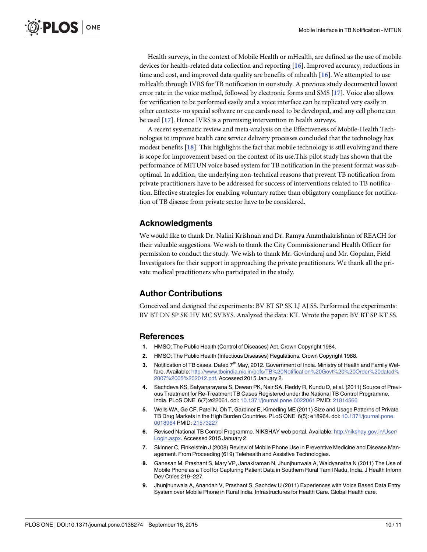<span id="page-9-0"></span>Health surveys, in the context of Mobile Health or mHealth, are defined as the use of mobile devices for health-related data collection and reporting [\[16](#page-10-0)]. Improved accuracy, reductions in time and cost, and improved data quality are benefits of mhealth [[16\]](#page-10-0). We attempted to use mHealth through IVRS for TB notification in our study. A previous study documented lowest error rate in the voice method, followed by electronic forms and SMS [\[17\]](#page-10-0). Voice also allows for verification to be performed easily and a voice interface can be replicated very easily in other contexts- no special software or cue cards need to be developed, and any cell phone can be used [\[17](#page-10-0)]. Hence IVRS is a promising intervention in health surveys.

A recent systematic review and meta-analysis on the Effectiveness of Mobile-Health Technologies to improve health care service delivery processes concluded that the technology has modest benefits [\[18](#page-10-0)]. This highlights the fact that mobile technology is still evolving and there is scope for improvement based on the context of its use.This pilot study has shown that the performance of MITUN voice based system for TB notification in the present format was suboptimal. In addition, the underlying non-technical reasons that prevent TB notification from private practitioners have to be addressed for success of interventions related to TB notification. Effective strategies for enabling voluntary rather than obligatory compliance for notification of TB disease from private sector have to be considered.

### Acknowledgments

We would like to thank Dr. Nalini Krishnan and Dr. Ramya Ananthakrishnan of REACH for their valuable suggestions. We wish to thank the City Commissioner and Health Officer for permission to conduct the study. We wish to thank Mr. Govindaraj and Mr. Gopalan, Field Investigators for their support in approaching the private practitioners. We thank all the private medical practitioners who participated in the study.

## Author Contributions

Conceived and designed the experiments: BV BT SP SK LJ AJ SS. Performed the experiments: BV BT DN SP SK HV MC SVBYS. Analyzed the data: KT. Wrote the paper: BV BT SP KT SS.

#### References

- [1.](#page-1-0) HMSO: The Public Health (Control of Diseases) Act. Crown Copyright 1984.
- [2.](#page-1-0) HMSO: The Public Health (Infectious Diseases) Regulations. Crown Copyright 1988.
- [3.](#page-1-0) Notification of TB cases. Dated 7<sup>th</sup> May, 2012. Government of India. Ministry of Health and Family Welfare. Available: [http://www.tbcindia.nic.in/pdfs/TB%20Notification%20Govt%20%20Order%20dated%](http://www.tbcindia.nic.in/pdfs/TB%20Notification%20Govt%20%20Order%20dated%2007%2005%202012.pdf) [2007%2005%202012.pdf.](http://www.tbcindia.nic.in/pdfs/TB%20Notification%20Govt%20%20Order%20dated%2007%2005%202012.pdf) Accessed 2015 January 2.
- [4.](#page-1-0) Sachdeva KS, Satyanarayana S, Dewan PK, Nair SA, Reddy R, Kundu D, et al. (2011) Source of Previous Treatment for Re-Treatment TB Cases Registered under the National TB Control Programme, India. PLoS ONE 6(7):e22061. doi: [10.1371/journal.pone.0022061](http://dx.doi.org/10.1371/journal.pone.0022061) PMID: [21814566](http://www.ncbi.nlm.nih.gov/pubmed/21814566)
- [5.](#page-1-0) Wells WA, Ge CF, Patel N, Oh T, Gardiner E, Kimerling ME (2011) Size and Usage Patterns of Private TB Drug Markets in the High Burden Countries. PLoS ONE 6(5): e18964. doi: [10.1371/journal.pone.](http://dx.doi.org/10.1371/journal.pone.0018964) [0018964](http://dx.doi.org/10.1371/journal.pone.0018964) PMID: [21573227](http://www.ncbi.nlm.nih.gov/pubmed/21573227)
- [6.](#page-1-0) Revised National TB Control Programme. NIKSHAY web portal. Available: [http://nikshay.gov.in/User/](http://nikshay.gov.in/User/Login.aspx) [Login.aspx](http://nikshay.gov.in/User/Login.aspx). Accessed 2015 January 2.
- [7.](#page-1-0) Skinner C, Finkelstein J (2008) Review of Mobile Phone Use in Preventive Medicine and Disease Management. From Proceeding (619) Telehealth and Assistive Technologies.
- [8.](#page-1-0) Ganesan M, Prashant S, Mary VP, Janakiraman N, Jhunjhunwala A, Waidyanatha N (2011) The Use of Mobile Phone as a Tool for Capturing Patient Data in Southern Rural Tamil Nadu, India. J Health Inform Dev Ctries 219–227.
- [9.](#page-1-0) Jhunjhunwala A, Anandan V, Prashant S, Sachdev U (2011) Experiences with Voice Based Data Entry System over Mobile Phone in Rural India. Infrastructures for Health Care. Global Health care.